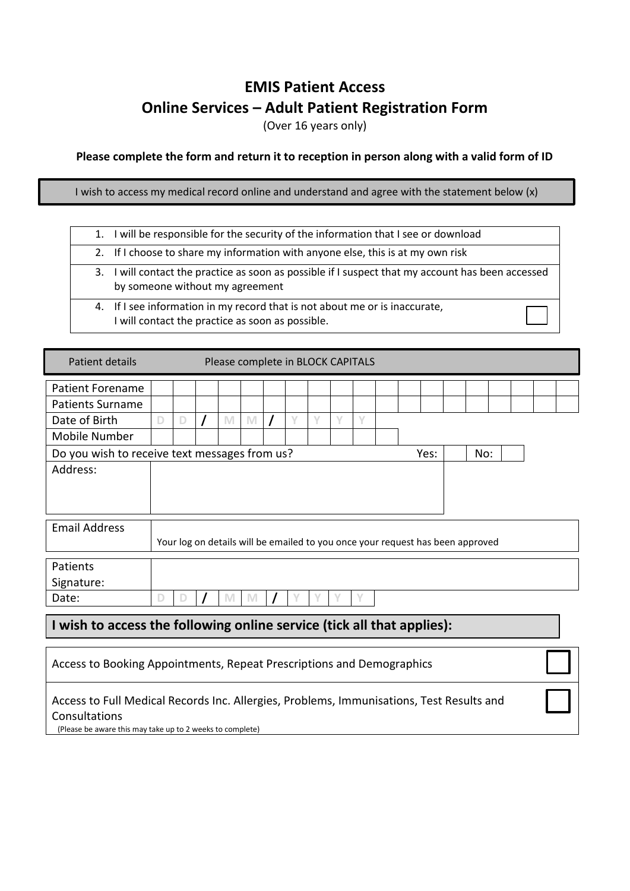## **EMIS Patient Access Online Services – Adult Patient Registration Form**

(Over 16 years only)

**Please complete the form and return it to reception in person along with a valid form of ID**

I wish to access my medical record online and understand and agree with the statement below (x)

|  | 1. I will be responsible for the security of the information that I see or download                                                  |
|--|--------------------------------------------------------------------------------------------------------------------------------------|
|  | 2. If I choose to share my information with anyone else, this is at my own risk                                                      |
|  | 3. I will contact the practice as soon as possible if I suspect that my account has been accessed<br>by someone without my agreement |
|  | 4. If I see information in my record that is not about me or is inaccurate,<br>I will contact the practice as soon as possible.      |

| Patient details                                                                          | Please complete in BLOCK CAPITALS                                              |   |  |                                                                                                            |   |  |   |   |   |        |  |  |     |  |  |  |  |
|------------------------------------------------------------------------------------------|--------------------------------------------------------------------------------|---|--|------------------------------------------------------------------------------------------------------------|---|--|---|---|---|--------|--|--|-----|--|--|--|--|
| <b>Patient Forename</b>                                                                  |                                                                                |   |  |                                                                                                            |   |  |   |   |   |        |  |  |     |  |  |  |  |
| <b>Patients Surname</b>                                                                  |                                                                                |   |  |                                                                                                            |   |  |   |   |   |        |  |  |     |  |  |  |  |
| Date of Birth                                                                            | D                                                                              | D |  | $\mathsf{M}% _{T}=\mathsf{M}_{T}\!\left( a,b\right) ,\ \mathsf{M}_{T}=\mathsf{M}_{T}\!\left( a,b\right) ,$ | M |  | V | V | V | $\vee$ |  |  |     |  |  |  |  |
| Mobile Number                                                                            |                                                                                |   |  |                                                                                                            |   |  |   |   |   |        |  |  |     |  |  |  |  |
|                                                                                          | Do you wish to receive text messages from us?<br>Yes:                          |   |  |                                                                                                            |   |  |   |   |   |        |  |  | No: |  |  |  |  |
| Address:                                                                                 |                                                                                |   |  |                                                                                                            |   |  |   |   |   |        |  |  |     |  |  |  |  |
|                                                                                          |                                                                                |   |  |                                                                                                            |   |  |   |   |   |        |  |  |     |  |  |  |  |
|                                                                                          |                                                                                |   |  |                                                                                                            |   |  |   |   |   |        |  |  |     |  |  |  |  |
| <b>Email Address</b>                                                                     |                                                                                |   |  |                                                                                                            |   |  |   |   |   |        |  |  |     |  |  |  |  |
|                                                                                          | Your log on details will be emailed to you once your request has been approved |   |  |                                                                                                            |   |  |   |   |   |        |  |  |     |  |  |  |  |
|                                                                                          |                                                                                |   |  |                                                                                                            |   |  |   |   |   |        |  |  |     |  |  |  |  |
| Patients                                                                                 |                                                                                |   |  |                                                                                                            |   |  |   |   |   |        |  |  |     |  |  |  |  |
| Signature:                                                                               |                                                                                |   |  |                                                                                                            |   |  |   |   |   |        |  |  |     |  |  |  |  |
| Date:                                                                                    | D                                                                              | D |  | M                                                                                                          | M |  |   |   |   | ٧      |  |  |     |  |  |  |  |
|                                                                                          |                                                                                |   |  |                                                                                                            |   |  |   |   |   |        |  |  |     |  |  |  |  |
| I wish to access the following online service (tick all that applies):                   |                                                                                |   |  |                                                                                                            |   |  |   |   |   |        |  |  |     |  |  |  |  |
|                                                                                          |                                                                                |   |  |                                                                                                            |   |  |   |   |   |        |  |  |     |  |  |  |  |
| Access to Booking Appointments, Repeat Prescriptions and Demographics                    |                                                                                |   |  |                                                                                                            |   |  |   |   |   |        |  |  |     |  |  |  |  |
|                                                                                          |                                                                                |   |  |                                                                                                            |   |  |   |   |   |        |  |  |     |  |  |  |  |
| Access to Full Medical Records Inc. Allergies, Problems, Immunisations, Test Results and |                                                                                |   |  |                                                                                                            |   |  |   |   |   |        |  |  |     |  |  |  |  |

Consultations

(Please be aware this may take up to 2 weeks to complete)